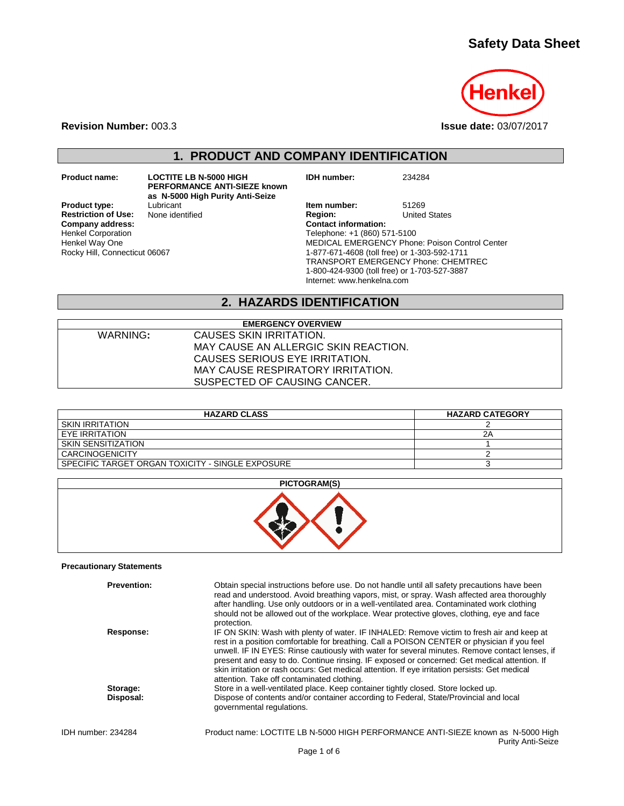# **Safety Data Sheet**



**Revision Number:** 003.3 **Issue date:** 03/07/2017

# **1. PRODUCT AND COMPANY IDENTIFICATION**

**Restriction of Use:**<br>Company address: Henkel Corporation Henkel Way One Rocky Hill, Connecticut 06067

**Product name: LOCTITE LB N-5000 HIGH PERFORMANCE ANTI-SIEZE known as N-5000 High Purity Anti-Seize**

**Product type:** Lubricant **Item number:** 51269<br> **Restriction of Use:** None identified **Item Region:** United States **Company address: Contact information:** Telephone: +1 (860) 571-5100 MEDICAL EMERGENCY Phone: Poison Control Center

**IDH number:** 234284

1-877-671-4608 (toll free) or 1-303-592-1711 TRANSPORT EMERGENCY Phone: CHEMTREC 1-800-424-9300 (toll free) or 1-703-527-3887

Internet: www.henkelna.com

### **2. HAZARDS IDENTIFICATION**

**EMERGENCY OVERVIEW** WARNING**:** CAUSES SKIN IRRITATION. MAY CAUSE AN ALLERGIC SKIN REACTION. CAUSES SERIOUS EYE IRRITATION. MAY CAUSE RESPIRATORY IRRITATION. SUSPECTED OF CAUSING CANCER.

| <b>HAZARD CLASS</b>                              | <b>HAZARD CATEGORY</b> |
|--------------------------------------------------|------------------------|
| <b>SKIN IRRITATION</b>                           |                        |
| EYE IRRITATION                                   | 2Α                     |
| SKIN SENSITIZATION                               |                        |
| CARCINOGENICITY                                  |                        |
| SPECIFIC TARGET ORGAN TOXICITY - SINGLE EXPOSURE |                        |

**PICTOGRAM(S)**



#### **Precautionary Statements**

|                    | <b>Prevention:</b> | Obtain special instructions before use. Do not handle until all safety precautions have been<br>read and understood. Avoid breathing vapors, mist, or spray. Wash affected area thoroughly<br>after handling. Use only outdoors or in a well-ventilated area. Contaminated work clothing<br>should not be allowed out of the workplace. Wear protective gloves, clothing, eye and face<br>protection.                                                                                                                                      |
|--------------------|--------------------|--------------------------------------------------------------------------------------------------------------------------------------------------------------------------------------------------------------------------------------------------------------------------------------------------------------------------------------------------------------------------------------------------------------------------------------------------------------------------------------------------------------------------------------------|
|                    | Response:          | IF ON SKIN: Wash with plenty of water. IF INHALED: Remove victim to fresh air and keep at<br>rest in a position comfortable for breathing. Call a POISON CENTER or physician if you feel<br>unwell. IF IN EYES: Rinse cautiously with water for several minutes. Remove contact lenses, if<br>present and easy to do. Continue rinsing. IF exposed or concerned: Get medical attention. If<br>skin irritation or rash occurs: Get medical attention. If eye irritation persists: Get medical<br>attention. Take off contaminated clothing. |
|                    | Storage:           | Store in a well-ventilated place. Keep container tightly closed. Store locked up.                                                                                                                                                                                                                                                                                                                                                                                                                                                          |
|                    | Disposal:          | Dispose of contents and/or container according to Federal, State/Provincial and local<br>governmental regulations.                                                                                                                                                                                                                                                                                                                                                                                                                         |
| IDH number: 234284 |                    | Product name: LOCTITE LB N-5000 HIGH PERFORMANCE ANTI-SIEZE known as N-5000 High<br><b>Purity Anti-Seize</b>                                                                                                                                                                                                                                                                                                                                                                                                                               |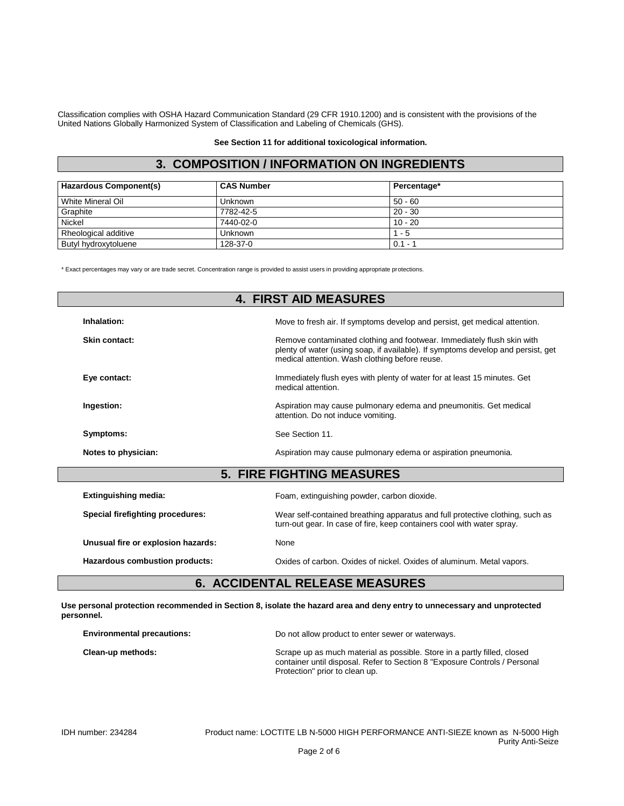Classification complies with OSHA Hazard Communication Standard (29 CFR 1910.1200) and is consistent with the provisions of the United Nations Globally Harmonized System of Classification and Labeling of Chemicals (GHS).

#### **See Section 11 for additional toxicological information.**

## **3. COMPOSITION / INFORMATION ON INGREDIENTS**

| <b>Hazardous Component(s)</b> | <b>CAS Number</b> | Percentage* |
|-------------------------------|-------------------|-------------|
| White Mineral Oil             | <b>Unknown</b>    | $50 - 60$   |
| Graphite                      | 7782-42-5         | $20 - 30$   |
| <b>Nickel</b>                 | 7440-02-0         | $10 - 20$   |
| Rheological additive          | Unknown           | $1 - 5$     |
| Butyl hydroxytoluene          | 128-37-0          | $0.1 -$     |

\* Exact percentages may vary or are trade secret. Concentration range is provided to assist users in providing appropriate protections.

|                                         | <b>4. FIRST AID MEASURES</b>                                                                                                                                                                                 |
|-----------------------------------------|--------------------------------------------------------------------------------------------------------------------------------------------------------------------------------------------------------------|
| Inhalation:                             | Move to fresh air. If symptoms develop and persist, get medical attention.                                                                                                                                   |
| Skin contact:                           | Remove contaminated clothing and footwear. Immediately flush skin with<br>plenty of water (using soap, if available). If symptoms develop and persist, get<br>medical attention. Wash clothing before reuse. |
| Eye contact:                            | Immediately flush eyes with plenty of water for at least 15 minutes. Get<br>medical attention.                                                                                                               |
| Ingestion:                              | Aspiration may cause pulmonary edema and pneumonitis. Get medical<br>attention. Do not induce vomiting.                                                                                                      |
| Symptoms:                               | See Section 11.                                                                                                                                                                                              |
| Notes to physician:                     | Aspiration may cause pulmonary edema or aspiration pneumonia.                                                                                                                                                |
|                                         | <b>5. FIRE FIGHTING MEASURES</b>                                                                                                                                                                             |
| <b>Extinguishing media:</b>             | Foam, extinguishing powder, carbon dioxide.                                                                                                                                                                  |
| <b>Special firefighting procedures:</b> | Wear self-contained breathing apparatus and full protective clothing, such as<br>turn-out gear. In case of fire, keep containers cool with water spray.                                                      |
| Unusual fire or explosion hazards:      | None                                                                                                                                                                                                         |
| Hazardous combustion products:          | Oxides of carbon. Oxides of nickel. Oxides of aluminum. Metal vapors.                                                                                                                                        |

# **6. ACCIDENTAL RELEASE MEASURES**

**Use personal protection recommended in Section 8, isolate the hazard area and deny entry to unnecessary and unprotected personnel.**

| <b>Environmental precautions:</b> | Do not allow product to enter sewer or waterways.                                                                                                                                        |
|-----------------------------------|------------------------------------------------------------------------------------------------------------------------------------------------------------------------------------------|
| Clean-up methods:                 | Scrape up as much material as possible. Store in a partly filled, closed<br>container until disposal. Refer to Section 8 "Exposure Controls / Personal<br>Protection" prior to clean up. |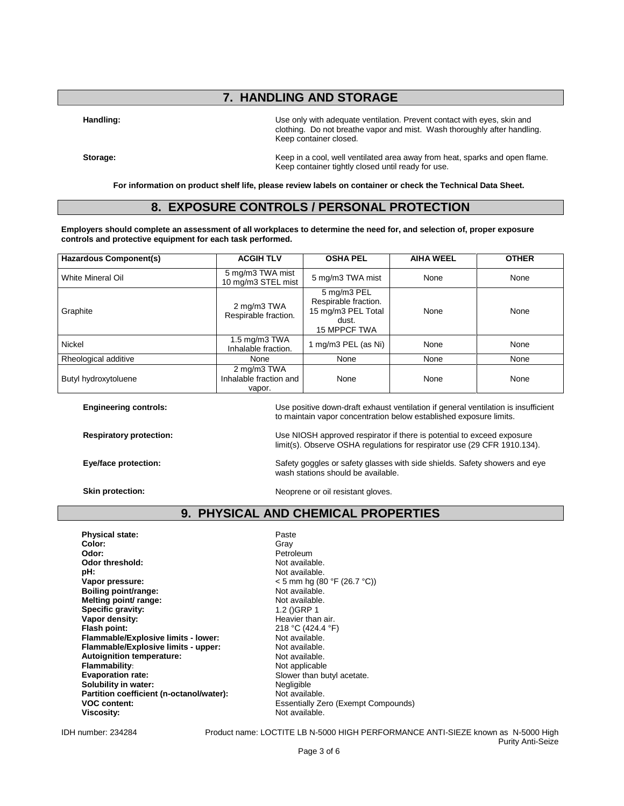## **7. HANDLING AND STORAGE**

**Handling:** Use only with adequate ventilation. Prevent contact with eyes, skin and clothing. Do not breathe vapor and mist. Wash thoroughly after handling. Keep container closed.

**Storage: Keep in a cool, well ventilated area away from heat, sparks and open flame.** Keep container tightly closed until ready for use.

**Engineering controls:** Use positive down-draft exhaust ventilation if general ventilation is insufficient

limit(s). Observe OSHA regulations for respirator use (29 CFR 1910.134).

to maintain vapor concentration below established exposure limits.

**For information on product shelf life, please review labels on container or check the Technical Data Sheet.**

### **8. EXPOSURE CONTROLS / PERSONAL PROTECTION**

**Employers should complete an assessment of all workplaces to determine the need for, and selection of, proper exposure controls and protective equipment for each task performed.**

| Hazardous Component(s) | <b>ACGIH TLV</b>                                                                                                          | <b>OSHA PEL</b>     | <b>AIHA WEEL</b> | <b>OTHER</b> |
|------------------------|---------------------------------------------------------------------------------------------------------------------------|---------------------|------------------|--------------|
| White Mineral Oil      | 5 mg/m3 TWA mist<br>5 mg/m3 TWA mist<br>10 mg/m3 STEL mist                                                                |                     | None             | None         |
| Graphite               | 5 mg/m3 PEL<br>Respirable fraction.<br>2 mg/m3 TWA<br>15 mg/m3 PEL Total<br>Respirable fraction.<br>dust.<br>15 MPPCF TWA |                     | None             | None         |
| <b>Nickel</b>          | 1.5 mg/m $3$ TWA<br>Inhalable fraction.                                                                                   | 1 mg/m3 PEL (as Ni) | None             | None         |
| Rheological additive   | None                                                                                                                      | None                | None             | None         |
| Butyl hydroxytoluene   | 2 mg/m3 TWA<br>Inhalable fraction and<br>vapor.                                                                           | None                | None             | None         |

**Respiratory protection:** Use NIOSH approved respirator if there is potential to exceed exposure

**Eye/face protection:** Safety goggles or safety glasses with side shields. Safety showers and eye

wash stations should be available. **Skin protection:** Neoprene or oil resistant gloves.

### **9. PHYSICAL AND CHEMICAL PROPERTIES**

**Physical state:** Paste Paste Paste Paste Paste Paste Paste Paste Paste Paste Paste Paste Paste Paste Paste Paste Paste Paste Paste Paste Paste Paste Paste Paste Paste Paste Paste Paste Paste Paste Paste Paste Paste Paste **Color:** Gray **Odor:** Petroleum<br> **Odor threshold:** Petroleum<br> **Petroleum**<br>
Not available. Odor threshold:<br>pH: **pH:**<br>
Vapor pressure:<br>
Vapor pressure:<br>  $\frac{1}{2}$  Mexico 25 mm hg (80 **Boiling point/range:** Not available.<br> **Melting point/ range:** Not available. **Melting point/ range:** Not available<br> **Specific gravity:** 1.2 ()GRP 1 **Specific gravity:** 1.2 ()GRP 1<br> **Vapor density:** Heavier than air. Vapor density: **Flash point: 218 °C (424.4 °F)**<br> **Flammable/Explosive limits - lower:** 218 °C (424.4 °F) **Flammable/Explosive limits - lower:** Not available.<br> **Flammable/Explosive limits - upper:** Not available. **Flammable/Explosive limits - upper:** Not available.<br> **Autoignition temperature:** Not available. **Autoignition temperature: Flammability:**<br> **Evaporation rate:**<br> **Evaporation rate:**<br> **Example 1** Slower than by **Solubility in water:** Negligible **Partition coefficient (n-octanol/water):** Not available. Partition coefficient (n-octanol/water):

**Vapor pressure:** < 5 mm hg (80 °F (26.7 °C)) Slower than butyl acetate. **VOC content:** The Essentially Zero (Exempt Compounds)<br> **Viscosity:** Not available. **Viscosity:** Not available.

IDH number: 234284 Product name: LOCTITE LB N-5000 HIGH PERFORMANCE ANTI-SIEZE known as N-5000 High Purity Anti-Seize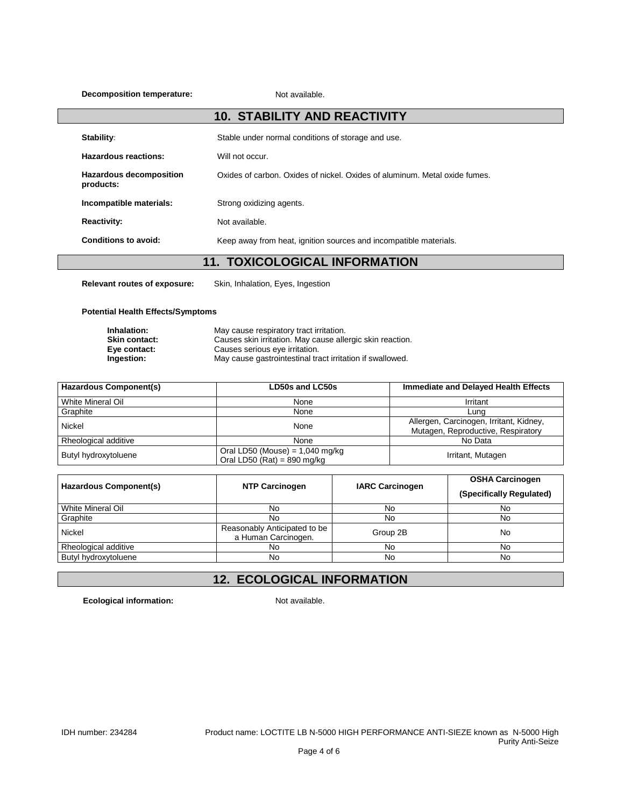**Decomposition temperature:** Not available.

|                                             | <b>10. STABILITY AND REACTIVITY</b>                                        |
|---------------------------------------------|----------------------------------------------------------------------------|
| Stability:                                  | Stable under normal conditions of storage and use.                         |
| Hazardous reactions:                        | Will not occur.                                                            |
| <b>Hazardous decomposition</b><br>products: | Oxides of carbon. Oxides of nickel. Oxides of aluminum. Metal oxide fumes. |
| Incompatible materials:                     | Strong oxidizing agents.                                                   |
| <b>Reactivity:</b>                          | Not available.                                                             |
| Conditions to avoid:                        | Keep away from heat, ignition sources and incompatible materials.          |
|                                             |                                                                            |

# **11. TOXICOLOGICAL INFORMATION**

**Relevant routes of exposure:** Skin, Inhalation, Eyes, Ingestion

#### **Potential Health Effects/Symptoms**

| Inhalation:          | May cause respiratory tract irritation.                   |
|----------------------|-----------------------------------------------------------|
| <b>Skin contact:</b> | Causes skin irritation. May cause allergic skin reaction. |
| Eye contact:         | Causes serious eye irritation.                            |
| Ingestion:           | May cause gastrointestinal tract irritation if swallowed. |

| <b>Hazardous Component(s)</b> | LD50s and LC50s                                                    | Immediate and Delayed Health Effects                                          |
|-------------------------------|--------------------------------------------------------------------|-------------------------------------------------------------------------------|
| White Mineral Oil             | None                                                               | Irritant                                                                      |
| Graphite                      | None                                                               | Luna                                                                          |
| Nickel                        | None                                                               | Allergen, Carcinogen, Irritant, Kidney,<br>Mutagen, Reproductive, Respiratory |
| Rheological additive          | None                                                               | No Data                                                                       |
| Butyl hydroxytoluene          | Oral LD50 (Mouse) = $1,040$ mg/kg<br>Oral LD50 (Rat) = $890$ mg/kg | Irritant, Mutagen                                                             |

| Hazardous Component(s) | <b>NTP Carcinogen</b>                               | <b>IARC Carcinogen</b> | <b>OSHA Carcinogen</b><br>(Specifically Regulated) |
|------------------------|-----------------------------------------------------|------------------------|----------------------------------------------------|
| White Mineral Oil      | No.                                                 | No                     | No                                                 |
| Graphite               | No                                                  | No                     | No                                                 |
| Nickel                 | Reasonably Anticipated to be<br>a Human Carcinogen. | Group 2B               | No                                                 |
| Rheological additive   | No                                                  | No                     | No                                                 |
| Butyl hydroxytoluene   | No                                                  | No                     | <b>No</b>                                          |

# **12. ECOLOGICAL INFORMATION**

**Ecological information:** Not available.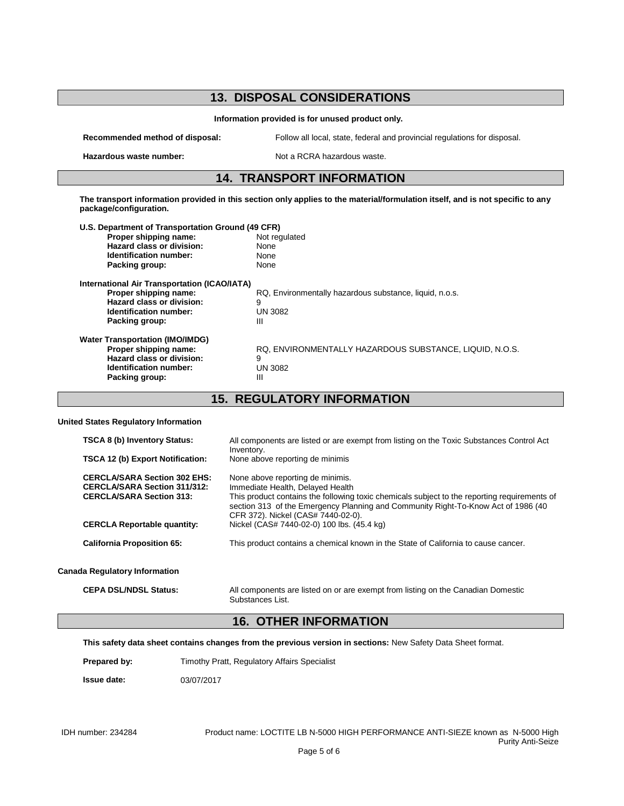## **13. DISPOSAL CONSIDERATIONS Information provided is for unused product only. Recommended method of disposal:** Follow all local, state, federal and provincial regulations for disposal. **Hazardous waste number:** Not a RCRA hazardous waste. **14. TRANSPORT INFORMATION The transport information provided in this section only applies to the material/formulation itself, and is not specific to any package/configuration. U.S. Department of Transportation Ground (49 CFR) Proper shipping name:** Not regulated<br> **Hazard class or division:** None **Hazard class or division:** None<br> **Identification number:** None **Identification number:** Packing group: None **International Air Transportation (ICAO/IATA) RQ, Environmentally hazardous substance, liquid, n.o.s.**<br>9 **Hazard class or division:** 9<br> **Identification number:** UN 3082 **Identification number: Packing group:** III **Water Transportation (IMO/IMDG) Proper shipping name:** RQ, ENVIRONMENTALLY HAZARDOUS SUBSTANCE, LIQUID, N.O.S. **Hazard class or division:** 9<br> **Identification number:** UN 3082 **Identification number:** UN<br>Packing group: III **Packing group:**

### **15. REGULATORY INFORMATION**

#### **United States Regulatory Information**

| <b>TSCA 8 (b) Inventory Status:</b><br><b>TSCA 12 (b) Export Notification:</b>                                | All components are listed or are exempt from listing on the Toxic Substances Control Act<br>Inventory.<br>None above reporting de minimis                                                                                                                                                       |
|---------------------------------------------------------------------------------------------------------------|-------------------------------------------------------------------------------------------------------------------------------------------------------------------------------------------------------------------------------------------------------------------------------------------------|
| <b>CERCLA/SARA Section 302 EHS:</b><br><b>CERCLA/SARA Section 311/312:</b><br><b>CERCLA/SARA Section 313:</b> | None above reporting de minimis.<br>Immediate Health, Delayed Health<br>This product contains the following toxic chemicals subject to the reporting requirements of<br>section 313 of the Emergency Planning and Community Right-To-Know Act of 1986 (40<br>CFR 372). Nickel (CAS# 7440-02-0). |
| <b>CERCLA Reportable quantity:</b><br><b>California Proposition 65:</b>                                       | Nickel (CAS# 7440-02-0) 100 lbs. (45.4 kg)<br>This product contains a chemical known in the State of California to cause cancer.                                                                                                                                                                |
| <b>Canada Regulatory Information</b>                                                                          |                                                                                                                                                                                                                                                                                                 |
| <b>CEPA DSL/NDSL Status:</b>                                                                                  | All components are listed on or are exempt from listing on the Canadian Domestic<br>Substances List.                                                                                                                                                                                            |

## **16. OTHER INFORMATION**

**This safety data sheet contains changes from the previous version in sections:** New Safety Data Sheet format.

**Prepared by:** Timothy Pratt, Regulatory Affairs Specialist

**Issue date:** 03/07/2017